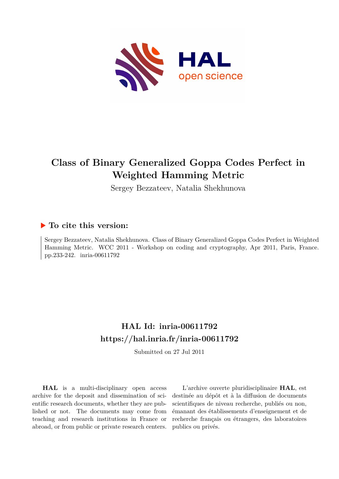

# **Class of Binary Generalized Goppa Codes Perfect in Weighted Hamming Metric**

Sergey Bezzateev, Natalia Shekhunova

### **To cite this version:**

Sergey Bezzateev, Natalia Shekhunova. Class of Binary Generalized Goppa Codes Perfect in Weighted Hamming Metric. WCC 2011 - Workshop on coding and cryptography, Apr 2011, Paris, France. pp.233-242. inria-00611792

## **HAL Id: inria-00611792 <https://hal.inria.fr/inria-00611792>**

Submitted on 27 Jul 2011

**HAL** is a multi-disciplinary open access archive for the deposit and dissemination of scientific research documents, whether they are published or not. The documents may come from teaching and research institutions in France or abroad, or from public or private research centers.

L'archive ouverte pluridisciplinaire **HAL**, est destinée au dépôt et à la diffusion de documents scientifiques de niveau recherche, publiés ou non, émanant des établissements d'enseignement et de recherche français ou étrangers, des laboratoires publics ou privés.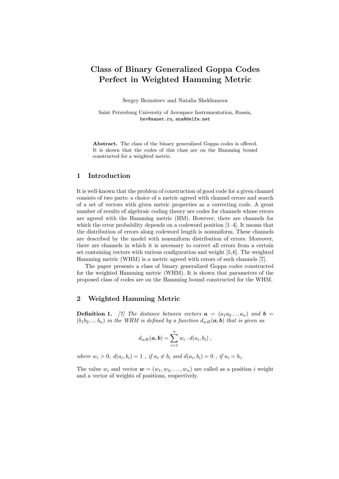## Class of Binary Generalized Goppa Codes Perfect in Weighted Hamming Metric

Sergey Bezzateev and Natalia Shekhunova

Saint Petersburg University of Aerospace Instrumentation, Russia, bsv@aanet.ru, sna@delfa.net

Abstract. The class of the binary generalized Goppa codes is offered. It is shown that the codes of this class are on the Hamming bound constructed for a weighted metric.

#### 1 Introduction

It is well-known that the problem of construction of good code for a given channel consists of two parts: a choice of a metric agreed with channel errors and search of a set of vectors with given metric properties as a correcting code. A great number of results of algebraic coding theory are codes for channels whose errors are agreed with the Hamming metric (HM). However, there are channels for which the error probability depends on a codeword position  $[1-4]$ . It means that the distribution of errors along codeword length is nonuniform. These channels are described by the model with nonuniform distribution of errors. Moreover, there are channels in which it is necessary to correct all errors from a certain set containing vectors with various configuration and weight [5,6]. The weighted Hamming metric (WHM) is a metric agreed with errors of such channels [7].

The paper presents a class of binary generalized Goppa codes constructed for the weighted Hamming metric (WHM). It is shown that parameters of the proposed class of codes are on the Hamming bound constructed for the WHM.

#### 2 Weighted Hamming Metric

**Definition 1.** [7] The distance between vectors  $a = (a_1 a_2 ... a_n)$  and  $b =$  $(b_1b_2...b_n)$  in the WHM is defined by a function  $d_{wH}(\boldsymbol{a},\boldsymbol{b})$  that is given as

$$
d_{wH}(\boldsymbol{a},\boldsymbol{b})=\sum_{i=1}^n w_i \cdot d(a_i,b_i) ,
$$

where  $w_i > 0$ ,  $d(a_i, b_i) = 1$ , if  $a_i \neq b_i$  and  $d(a_i, b_i) = 0$ , if  $a_i = b_i$ .

The value  $w_i$  and vector  $\mathbf{w} = (w_1, w_2, \dots, w_n)$  are called as a position i weight and a vector of weights of positions, respectively.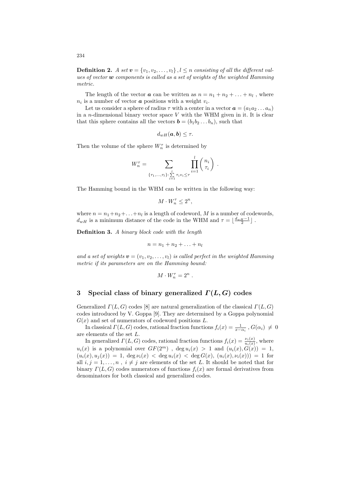234

**Definition 2.** A set  $v = \{v_1, v_2, \ldots, v_l\}$ ,  $l \leq n$  consisting of all the different values of vector  $\boldsymbol{w}$  components is called as a set of weights of the weighted Hamming metric.

The length of the vector  $\boldsymbol{a}$  can be written as  $n = n_1 + n_2 + \ldots + n_l$ , where  $n_i$  is a number of vector **a** positions with a weight  $v_i$ .

Let us consider a sphere of radius  $\tau$  with a center in a vector  $\boldsymbol{a} = (a_1 a_2 \dots a_n)$ in a *n*-dimensional binary vector space  $V$  with the WHM given in it. It is clear that this sphere contains all the vectors  $\mathbf{b} = (b_1b_2 \ldots b_n)$ , such that

$$
d_{wH}(\boldsymbol{a},\boldsymbol{b})\leq \tau.
$$

Then the volume of the sphere  $W_n^\tau$  is determined by

$$
W_n^{\tau} = \sum_{\{\tau_1,\ldots,\tau_l\}: \sum_{i=1}^l \tau_i v_i \leq \tau} \prod_{i=1}^l \binom{n_i}{\tau_i}.
$$

The Hamming bound in the WHM can be written in the following way:

$$
M\cdot W_n^\tau \leq 2^n,
$$

where  $n = n_1 + n_2 + \ldots + n_l$  is a length of codeword, M is a number of codewords,  $d_{wH}$  is a minimum distance of the code in the WHM and  $\tau = \lfloor \frac{d_w_H-1}{2} \rfloor$  .

Definition 3. A binary block code with the length

$$
n=n_1+n_2+\ldots+n_l
$$

and a set of weights  $\mathbf{v} = (v_1, v_2, \dots, v_l)$  is called perfect in the weighted Hamming metric if its parameters are on the Hamming bound:

$$
M\cdot W_n^\tau=2^n
$$

.

#### 3 Special class of binary generalized  $\Gamma(L, G)$  codes

Generalized  $\Gamma(L, G)$  codes [8] are natural generalization of the classical  $\Gamma(L, G)$ codes introduced by V. Goppa [9]. They are determined by a Goppa polynomial  $G(x)$  and set of numerators of codeword positions L.

In classical  $\Gamma(L, G)$  codes, rational fraction functions  $f_i(x) = \frac{1}{x-\alpha_i}$ ,  $G(\alpha_i) \neq 0$ are elements of the set L.

In generalized  $\Gamma(L, G)$  codes, rational fraction functions  $f_i(x) = \frac{\nu_i(x)}{u_i(x)}$ , where  $u_i(x)$  is a polynomial over  $GF(2^m)$ ,  $\deg u_i(x) > 1$  and  $(u_i(x), G(x)) = 1$ ,  $(u_i(x), u_i(x)) = 1$ ,  $\deg \nu_i(x) < \deg u_i(x) < \deg G(x)$ ,  $(u_i(x), \nu_i(x)) = 1$  for all  $i, j = 1, \ldots, n$ ,  $i \neq j$  are elements of the set L. It should be noted that for binary  $\Gamma(L, G)$  codes numerators of functions  $f_i(x)$  are formal derivatives from denominators for both classical and generalized codes.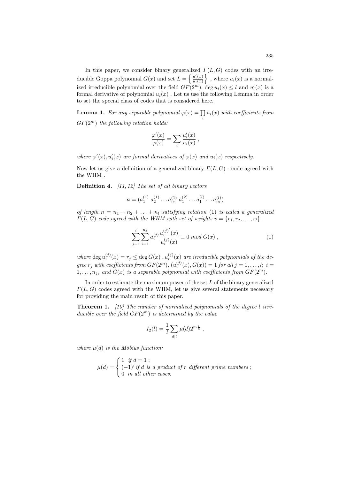In this paper, we consider binary generalized  $\Gamma(L, G)$  codes with an irreducible Goppa polynomial  $G(x)$  and set  $L = \begin{cases} \frac{u'_i(x)}{u_i(x)} \end{cases}$  $u_i(x)$  $\}$ , where  $u_i(x)$  is a normalized irreducible polynomial over the field  $GF(2<sup>m</sup>)$ , deg  $u_i(x) \leq l$  and  $u'_i(x)$  is a formal derivative of polynomial  $u_i(x)$ . Let us use the following Lemma in order to set the special class of codes that is considered here.

**Lemma 1.** For any separable polynomial  $\varphi(x) = \prod_i u_i(x)$  with coefficients from  $GF(2^m)$  the following relation holds:

$$
\frac{\varphi'(x)}{\varphi(x)} = \sum_{i} \frac{u'_i(x)}{u_i(x)},
$$

where  $\varphi'(x)$ ,  $u'_i(x)$  are formal derivatives of  $\varphi(x)$  and  $u_i(x)$  respectively.

Now let us give a definition of a generalized binary  $\Gamma(L, G)$  - code agreed with the WHM .

**Definition 4.** [11, 12] The set of all binary vectors

$$
\boldsymbol{a} = (a_1^{(1)} \ a_2^{(1)} \dots a_{n_1}^{(1)} \ a_1^{(2)} \dots a_1^{(l)} \dots a_{n_l}^{(l)})
$$

of length  $n = n_1 + n_2 + \ldots + n_l$  satisfying relation (1) is called a generalized  $\Gamma(L, G)$  code agreed with the WHM with set of weights  $v = \{r_1, r_2, \ldots, r_l\}.$ 

$$
\sum_{j=1}^{l} \sum_{i=1}^{n_j} a_i^{(j)} \frac{u_i^{(j)'}(x)}{u_i^{(j)}(x)} \equiv 0 \mod G(x) , \qquad (1)
$$

where  $\deg u_i^{(j)}(x) = r_j \leq \deg G(x)$ ,  $u_i^{(j)}(x)$  are irreducible polynomials of the degree  $r_j$  with coefficients from  $GF(2^m)$ ,  $(u_i^{(j)}(x), G(x)) = 1$  for all  $j = 1, \ldots, l; i =$  $1, \ldots, n_j$ , and  $G(x)$  is a separable polynomial with coefficients from  $GF(2^m)$ .

In order to estimate the maximum power of the set  $L$  of the binary generalized  $\Gamma(L, G)$  codes agreed with the WHM, let us give several statements necessary for providing the main result of this paper.

**Theorem 1.** [10] The number of normalized polynomials of the degree  $l$  irreducible over the field  $GF(2^m)$  is determined by the value

$$
I_2(l) = \frac{1}{l} \sum_{d|l} \mu(d) 2^{m\frac{l}{d}},
$$

where  $\mu(d)$  is the Möbius function:

$$
\mu(d) = \begin{cases} 1 & \text{if } d = 1 ; \\ (-1)^r \text{if } d \text{ is a product of } r \text{ different prime numbers ;} \\ 0 & \text{in all other cases.} \end{cases}
$$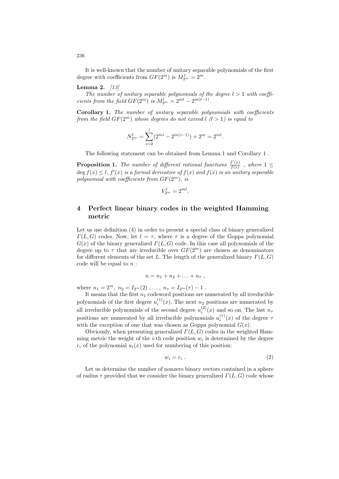It is well-known that the number of unitary separable polynomials of the first degree with coefficients from  $GF(2^m)$  is  $M_{2^m}^1 = 2^m$ .

#### **Lemma 2.**  $[13]$

The number of unitary separable polynomials of the degree  $l > 1$  with coefficients from the field  $GF(2^m)$  is  $M_{2^m}^l = 2^{ml} - 2^{m(l-1)}$ .

Corollary 1. The number of unitary separable polynomials with coefficients from the field  $GF(2^m)$  whose degrees do not exceed  $l$   $(l > 1)$  is equal to

$$
N_{2m}^l = \sum_{i=2}^l (2^{mi} - 2^{m(i-1)}) + 2^m = 2^{ml}.
$$

The following statement can be obtained from Lemma 1 and Corollary 1 .

**Proposition 1.** The number of different rational functions  $\frac{f'(x)}{f(x)}$  $\frac{f(x)}{f(x)}$ , where  $1 \leq$  $\deg f(x) \leq l$ ,  $f'(x)$  is a formal derivative of  $f(x)$  and  $f(x)$  is an unitary separable polynomial with coefficients from  $GF(2^m)$ , is

$$
V_{2^m}^l = 2^{ml}.
$$

#### 4 Perfect linear binary codes in the weighted Hamming metric

Let us use definition (4) in order to present a special class of binary generalized  $\Gamma(L, G)$  codes. Now, let  $l = \tau$ , where  $\tau$  is a degree of the Goppa polynomial  $G(x)$  of the binary generalized  $\Gamma(L, G)$  code. In this case all polynomials of the degree up to  $\tau$  that are irreducible over  $GF(2^m)$  are chosen as denominators for different elements of the set L. The length of the generalized binary  $\Gamma(L, G)$ code will be equal to  $n$ :

$$
n=n_1+n_2+\ldots+n_{\tau} ,
$$

where  $n_1 = 2^m$ ,  $n_2 = I_{2^m}(2)$ , ...,  $n_{\tau} = I_{2^m}(\tau) - 1$ .

It means that the first  $n_1$  codeword positions are numerated by all irreducible polynomials of the first degree  $u_i^{(1)}(x)$ . The next  $n_2$  positions are numerated by all irreducible polynomials of the second degree  $u_i^{(2)}(x)$  and so on. The last  $n_{\tau}$ positions are numerated by all irreducible polynomials  $u_i^{(\tau)}(x)$  of the degree  $\tau$ with the exception of one that was chosen as Goppa polynomial  $G(x)$ .

Obviously, when presenting generalized  $\Gamma(L, G)$  codes in the weighted Hamming metric the weight of the *i*-th code position  $w_i$  is determined by the degree  $r_i$  of the polynomial  $u_i(x)$  used for numbering of this position:

$$
w_i = r_i \tag{2}
$$

Let us determine the number of nonzero binary vectors contained in a sphere of radius  $\tau$  provided that we consider the binary generalized  $\Gamma(L, G)$  code whose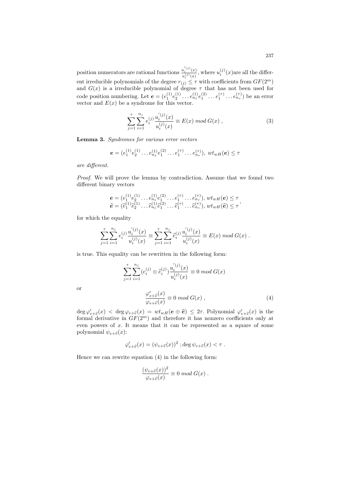position numerators are rational functions  $u_i^{(j)}(x)$  $u_i^{(j)}(x)$ , where  $u_i^{(j)}(x)$  are all the different irreducible polynomials of the degree  $r_{(j)} \leq \tau$  with coefficients from  $GF(2^m)$ and  $G(x)$  is a irreducible polynomial of degree  $\tau$  that has not been used for code position numbering. Let  $e = (e_1^{(1)}e_2^{(1)} \dots e_{n_1}^{(1)}e_1^{(2)} \dots e_1^{(\tau)} \dots e_{n_{\tau}}^{(\tau)})$  be an error vector and  $E(x)$  be a syndrome for this vector.

$$
\sum_{j=1}^{\tau} \sum_{i=1}^{n_j} e_i^{(j)} \frac{u_i^{(j)}(x)}{u_i^{(j)}(x)} \equiv E(x) \mod G(x) , \qquad (3)
$$

Lemma 3. Syndromes for various error vectors

$$
\mathbf{e} = (e_1^{(1)} e_2^{(1)} \dots e_{n_1}^{(1)} e_1^{(2)} \dots e_1^{(\tau)} \dots e_{n_{\tau}}^{(\tau)}), wt_{wH}(\mathbf{e}) \le \tau
$$

are different.

Proof. We will prove the lemma by contradiction. Assume that we found two different binary vectors

$$
\mathbf{e} = (e_1^{(1)} e_2^{(1)} \dots e_{n_1}^{(1)} e_1^{(2)} \dots e_1^{(\tau)} \dots e_{n_{\tau}}^{(\tau)}), wt_{wH}(\mathbf{e}) \le \tau \n\hat{\mathbf{e}} = (\hat{e}_1^{(1)} \hat{e}_2^{(1)} \dots \hat{e}_{n_1}^{(1)} \hat{e}_1^{(2)} \dots \hat{e}_1^{(\tau)} \dots \hat{e}_{n_{\tau}}^{(\tau)}), wt_{wH}(\hat{\mathbf{e}}) \le \tau
$$

for which the equality

$$
\sum_{j=1}^\tau \sum_{i=1}^{n_j} e_i^{(j)} \frac{u_i^{'(j)}(x)}{u_i^{(j)}(x)} \equiv \sum_{j=1}^\tau \sum_{i=1}^{n_j} \hat{e}_i^{(j)} \frac{u_i^{'(j)}(x)}{u_i^{(j)}(x)} \equiv E(x) \bmod G(x) \; .
$$

is true. This equality can be rewritten in the following form:

$$
\sum_{j=1}^{\tau} \sum_{i=1}^{n_j} (e_i^{(j)} \oplus \hat{e}_i^{(j)}) \frac{u_i^{'(j)}(x)}{u_i^{(j)}(x)} \equiv 0 \mod G(x)
$$

or

$$
\frac{\varphi'_{e+\widehat{e}}(x)}{\varphi_{e+\widehat{e}}(x)} \equiv 0 \mod G(x) , \qquad (4)
$$

 $\deg \varphi'_{e+\widehat{e}}(x) < \deg \varphi_{e+\widehat{e}}(x) = wt_{wH}(e \oplus \widehat{e}) \leq 2\tau$ . Polynomial  $\varphi'_{e+\widehat{e}}(x)$  is the formal derivative in  $GF(2^m)$  and therefore it has nonzero coefficients only at even powers of x. It means that it can be represented as a square of some polynomial  $\psi_{e+\widehat{e}}(x)$ :

$$
\varphi'_{e+\widehat{e}}(x) = (\psi_{e+\widehat{e}}(x))^2 \; ; \deg \psi_{e+\widehat{e}}(x) < \tau \; .
$$

Hence we can rewrite equation (4) in the following form:

$$
\frac{(\psi_{e+\widehat{e}}(x))^2}{\varphi_{e+\widehat{e}}(x)} \equiv 0 \mod G(x) .
$$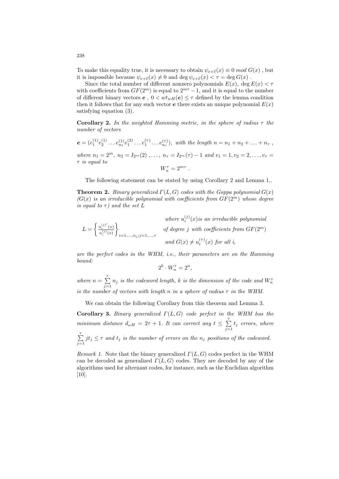To make this equality true, it is necessary to obtain  $\psi_{e+\widehat{e}}(x) \equiv 0 \mod G(x)$ , but it is impossible because  $\psi_{e+\widehat{e}}(x) \neq 0$  and  $\deg \psi_{e+\widehat{e}}(x) < \tau = \deg G(x)$ .

Since the total number of different nonzero polynomials  $E(x)$ , deg  $E(x) < \tau$ with coefficients from  $GF(2^m)$  is equal to  $2^{m\tau} - 1$ , and it is equal to the number of different binary vectors  $e$ ,  $0 < wt_{wH}(e) \leq \tau$  defined by the lemma condition then it follows that for any such vector  $e$  there exists an unique polynomial  $E(x)$ satisfying equation (3).

**Corollary 2.** In the weighted Hamming metric, in the sphere of radius  $\tau$  the number of vectors

 $e = (e_1^{(1)}e_2^{(1)} \dots e_{n_1}^{(1)}e_1^{(2)} \dots e_1^{(\tau)} \dots e_{n_{\tau}}^{(\tau)}),$  with the length  $n = n_1 + n_2 + \dots + n_{\tau}$ , where  $n_1 = 2^m$ ,  $n_2 = I_{2^m}(2)$ , ...,  $n_{\tau} = I_{2^m}(\tau) - 1$  and  $v_1 = 1, v_2 = 2, \ldots, v_{\tau} =$  $\tau$  is equal to  $W_n^{\tau} = 2^{m\tau}$ .

The following statement can be stated by using Corollary 2 and Lemma 1,.

**Theorem 2.** Binary generalized  $\Gamma(L, G)$  codes with the Goppa polynomial  $G(x)$  $(G(x))$  is an irreducible polynomial with coefficients from  $GF(2^m)$  whose degree is equal to  $\tau$ ) and the set L

 $(i)$ ,  $\ldots$   $\ldots$   $\ldots$ 

where 
$$
u_i^{(j)}(x)
$$
 is an irreducible polynomial  
\n
$$
L = \left\{ \frac{u_i^{(j)}(x)}{u_i^{(j)}(x)} \right\}_{i=1,\ldots,n_j; j=1,\ldots,\tau}
$$
\nof degree  $j$  with coefficients from  $GF(2^m)$   
\nand  $G(x) \neq u_i^{(\tau)}(x)$  for all  $i$ ,

are the perfect codes in the WHM, i.e., their parameters are on the Hamming bound:

$$
2^k \cdot W_n^{\tau} = 2^n,
$$

where  $n = \sum_{n=1}^{7}$  $\sum_{j=1}$  n<sub>j</sub> is the codeword length, k is the dimension of the code and  $W_n^{\tau}$ is the number of vectors with length n in a sphere of radius  $\tau$  in the WHM.

We can obtain the following Corollary from this theorem and Lemma 3.

Corollary 3. Binary generalized  $\Gamma(L, G)$  code perfect in the WHM has the minimum distance  $d_{\omega H} = 2\tau + 1$ . It can correct any  $t \leq \sum_{n=1}^{\infty}$  $\sum_{j=1} t_j$  errors, where  $\sum^{\tau}$  $\sum_{j=1} j t_j \leq \tau$  and  $t_j$  is the number of errors on the  $n_j$  positions of the codeword.

Remark 1. Note that the binary generalized  $\Gamma(L, G)$  codes perfect in the WHM can be decoded as generalized  $\Gamma(L, G)$  codes. They are decoded by any of the algorithms used for alternant codes, for instance, such as the Euclidian algorithm [10].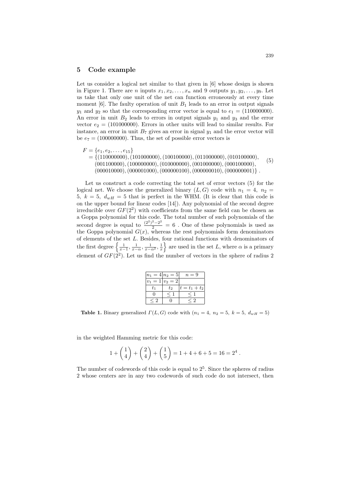#### 5 Code example

Let us consider a logical net similar to that given in [6] whose design is shown in Figure 1. There are *n* inputs  $x_1, x_2, \ldots, x_n$  and 9 outputs  $y_1, y_2, \ldots, y_9$ . Let us take that only one unit of the net can function erroneously at every time moment [6]. The faulty operation of unit  $B_1$  leads to an error in output signals  $y_1$  and  $y_2$  so that the corresponding error vector is equal to  $e_1 = (110000000)$ . An error in unit  $B_2$  leads to errors in output signals  $y_1$  and  $y_3$  and the error vector  $e_2 = (101000000)$ . Errors in other units will lead to similar results. For instance, an error in unit  $B_7$  gives an error in signal  $y_1$  and the error vector will be  $e_7 = (100000000)$ . Thus, the set of possible error vectors is

- $F = \{e_1, e_2, \ldots, e_{15}\}\$ 
	- $= \{(110000000), (101000000), (100100000), (011000000), (010100000),$ (001100000),(100000000),(010000000),(001000000),(000100000), (000010000),(000001000),(000000100),(000000010),(000000001)} . (5)

Let us construct a code correcting the total set of error vectors (5) for the logical net. We choose the generalized binary  $(L, G)$  code with  $n_1 = 4$ ,  $n_2 =$ 5,  $k = 5$ ,  $d_{wH} = 5$  that is perfect in the WHM. (It is clear that this code is on the upper bound for linear codes [14]). Any polynomial of the second degree irreducible over  $GF(2^2)$  with coefficients from the same field can be chosen as a Goppa polynomial for this code. The total number of such polynomials of the second degree is equal to  $\frac{(2^2)^2 - 2^2}{2} = 6$ . One of these polynomials is used as the Goppa polynomial  $G(x)$ , whereas the rest polynomials form denominators of elements of the set L. Besides, four rational functions with denominators of the first degree  $\left\{\frac{1}{x-1}, \frac{1}{x-\alpha}, \frac{1}{x-\alpha^2}, \frac{1}{x}\right\}$  $\}$  are used in the set L, where  $\alpha$  is a primary element of  $GF(2^2)$ . Let us find the number of vectors in the sphere of radius 2

| $n_{1}$      | $=4 n_2=5$     | $n=9$           |
|--------------|----------------|-----------------|
| $=$ 1<br>221 | $v_2$<br>$= 2$ |                 |
| T1           | t2             | $t = t_1 + t_2$ |
|              |                |                 |
|              |                |                 |

**Table 1.** Binary generalized  $\Gamma(L, G)$  code with  $(n_1 = 4, n_2 = 5, k = 5, d_{wH} = 5)$ 

in the weighted Hamming metric for this code:

$$
1 + \binom{1}{4} + \binom{2}{4} + \binom{1}{5} = 1 + 4 + 6 + 5 = 16 = 2^4.
$$

The number of codewords of this code is equal to  $2<sup>5</sup>$ . Since the spheres of radius 2 whose centers are in any two codewords of such code do not intersect, then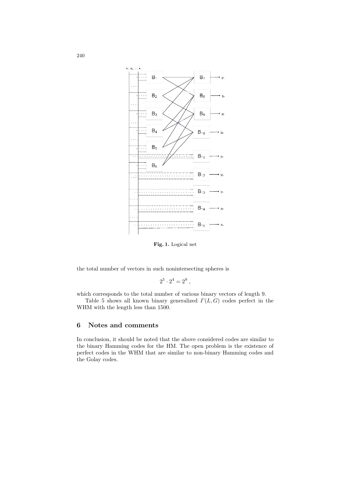

Fig. 1. Logical net

the total number of vectors in such nonintersecting spheres is

$$
2^5 \cdot 2^4 = 2^9 \; ,
$$

which corresponds to the total number of various binary vectors of length 9.

Table 5 shows all known binary generalized  $\Gamma(L, G)$  codes perfect in the WHM with the length less than 1500.

#### 6 Notes and comments

In conclusion, it should be noted that the above considered codes are similar to the binary Hamming codes for the HM. The open problem is the existence of perfect codes in the WHM that are similar to non-binary Hamming codes and the Golay codes.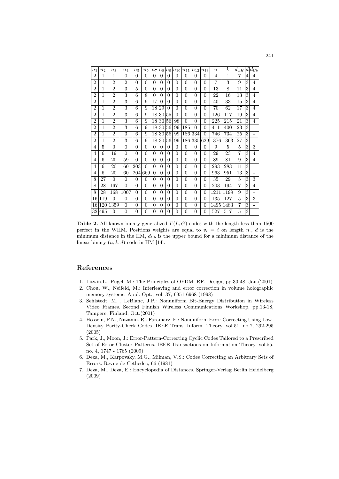| n <sub>1</sub> | n <sub>2</sub> | $n_{3}$        | $n_4$          | $n_{5}$  | $n_{6}$        | n <sub>7</sub> | $n_{8}$  | n <sub>9</sub> | $n_{10}$       | $n_{11}$       | $n_{12}$       | $n_{13}$ | $\boldsymbol{n}$ | $\boldsymbol{k}$ | $d_{\omega H}$ | $\left  d \right $ | $d_{Ub}$                 |
|----------------|----------------|----------------|----------------|----------|----------------|----------------|----------|----------------|----------------|----------------|----------------|----------|------------------|------------------|----------------|--------------------|--------------------------|
| $\overline{2}$ | 1              | 1              | 0              | 0        | 0              | $\Omega$       | 0        | 0              | $\theta$       | $\Omega$       | $\theta$       | 0        | 4                | 1                | $\overline{7}$ | 4                  | 4                        |
| $\overline{2}$ | 1              | $\overline{2}$ | $\overline{2}$ | $\Omega$ | $\Omega$       | $\theta$       | 0        | $\Omega$       | $\Omega$       | $\theta$       | $\Omega$       | $\Omega$ | $\overline{7}$   | 3                | 9              | 3                  | 4                        |
| $\overline{2}$ | $\mathbf 1$    | $\overline{2}$ | 3              | 5        | $\theta$       | $\Omega$       | 0        | $\Omega$       | $\overline{0}$ | $\overline{0}$ | $\overline{0}$ | $\theta$ | 13               | 8                | 11             | 3                  | 4                        |
| $\overline{2}$ | 1              | $\overline{2}$ | 3              | 6        | 8              | $\Omega$       | 0        | $\Omega$       | 0              | $\overline{0}$ | 0              | $\theta$ | 22               | 16               | 13             | 3                  | 4                        |
| $\overline{2}$ | 1              | $\overline{2}$ | 3              | 6        | 9              | 17             | 0        | $\Omega$       | $\overline{0}$ | $\overline{0}$ | $\theta$       | $\theta$ | 40               | 33               | 15             | 3                  | $\overline{4}$           |
| $\overline{2}$ | 1              | $\overline{2}$ | 3              | 6        | 9              | 18             | 29       | $\Omega$       | $\overline{0}$ | $\overline{0}$ | $\overline{0}$ | $\theta$ | 70               | 62               | 17             | 3                  | $\overline{4}$           |
| $\overline{2}$ | 1              | $\overline{2}$ | 3              | 6        | 9              | 18             | 30       | 55             | $\theta$       | $\overline{0}$ | $\theta$       | $\theta$ | 126              | 117              | 19             | 3                  | 4                        |
| $\overline{2}$ | 1              | $\overline{2}$ | 3              | 6        | 9              | 18             | 30       | 56             | 98             | $\overline{0}$ | $\theta$       | $\theta$ | 225              | 215              | 21             | 3                  | 4                        |
| $\overline{2}$ | 1              | $\overline{2}$ | 3              | 6        | 9              | 18             | 30       | 56             | 99             | 185            | $\theta$       | $\theta$ | 411              | 400              | 23             | 3                  | -                        |
| $\overline{2}$ | 1              | $\overline{2}$ | 3              | 6        | 9              | 18             | 30       | 56             | 99             | 186            | 334            | $\theta$ | 746              | 734              | 25             | 3                  | $\overline{a}$           |
| $\overline{2}$ | 1              | $\overline{2}$ | 3              | 6        | 9              | 18             | 30       | 56             | 99             | 186            | 335            | 629      | 1376             | 1363             | 27             | 3                  | $\qquad \qquad -$        |
| 4              | 5              | $\overline{0}$ | $\overline{0}$ | $\theta$ | $\Omega$       | $\overline{0}$ | 0        | $\Omega$       | $\theta$       | $\overline{0}$ | 0              | $\theta$ | 9                | 5                | 5              | 3                  | 3                        |
| 4              | 6              | 19             | $\theta$       | $\Omega$ | $\Omega$       | $\theta$       | $\Omega$ | $\Omega$       | $\overline{0}$ | $\theta$       | $\theta$       | $\theta$ | 29               | 23               | 7              | 3                  | 4                        |
| 4              | 6              | 20             | 59             | $\Omega$ | $\theta$       | $\theta$       | 0        | $\Omega$       | $\Omega$       | $\theta$       | $\Omega$       | $\Omega$ | 89               | 81               | 9              | 3                  | $\overline{4}$           |
| 4              | 6              | 20             | 60             | 203      | $\theta$       | $\overline{0}$ | 0        | $\Omega$       | $\overline{0}$ | $\overline{0}$ | $\overline{0}$ | $\theta$ | 293              | 283              | 11             | 3                  | $\qquad \qquad -$        |
| 4              | 6              | 20             | 60             | 204      | 669            | $\Omega$       | 0        | $\Omega$       | $\overline{0}$ | $\overline{0}$ | 0              | $\theta$ | 963              | 951              | 13             | 3                  | $\overline{\phantom{0}}$ |
| 8              | 27             | 0              | 0              | $\theta$ | $\Omega$       | $\theta$       | 0        | $\Omega$       | $\overline{0}$ | $\overline{0}$ | 0              | $\theta$ | 35               | 29               | 5              | 3                  | 3                        |
| 8              | 28             | 167            | $\theta$       | $\theta$ | $\theta$       | $\theta$       | $\Omega$ | $\Omega$       | $\Omega$       | $\theta$       | $\Omega$       | $\Omega$ | 203              | 194              | $\overline{7}$ | 3                  | 4                        |
| 8              | 28             | 168            | 1007           | $\Omega$ | $\theta$       | $\Omega$       | 0        | $\Omega$       | $\overline{0}$ | $\overline{0}$ | $\theta$       | $\theta$ | 1211             | 1199             | 9              | 3                  | -                        |
| 16             | 119            | $\overline{0}$ | $\overline{0}$ | $\theta$ | $\overline{0}$ | $\overline{0}$ | 0        | $\Omega$       | $\overline{0}$ | $\overline{0}$ | $\overline{0}$ | $\theta$ | 135              | 127              | 5              | 3                  | 3                        |
| 16             | 120            | 1359           | $\overline{0}$ | $\theta$ | $\Omega$       | $\theta$       | 0        | $\Omega$       | $\overline{0}$ | $\overline{0}$ | $\overline{0}$ | $\theta$ | 1495             | 1483             | $\overline{7}$ | 3                  | ۰                        |
| 32             | 495            | 0              | $\Omega$       | $\Omega$ | $\theta$       | $\theta$       | 0        | 0              | $\Omega$       | $\overline{0}$ | $\theta$       | $\theta$ | 527              | 517              | 5              | 3                  | -                        |
|                |                |                |                |          |                |                |          |                |                |                |                |          |                  |                  |                |                    |                          |

Table 2. All known binary generalized  $\Gamma(L, G)$  codes with the length less than 1500 perfect in the WHM. Positions weights are equal to  $v_i = i$  on length  $n_i$ , d is the minimum distance in the HM,  $d_{Ub}$  is the upper bound for a minimum distance of the linear binary  $(n, k, d)$  code in HM [14].

#### References

- 1. Litwin,L., Pugel, M.: The Principles of OFDM. RF. Design, pp.30-48, Jan.(2001)
- 2. Chou, W., Neifeld, M.: Interleaving and error correction in volume holographic memory systems. Appl. Opt., vol. 37, 6951-6968 (1998)
- 3. Sehlstedt, M. , LeBlanc, J.P.: Nonuniform Bit-Energy Distribution in Wireless Video Frames. Second Finnish Wireless Communications Workshop, pp.13-18, Tampere, Finland, Oct.(2001)
- 4. Hossein, P.N., Nazanin, R., Faramarz, F.: Nonuniform Error Correcting Using Low-Density Parity-Check Codes. IEEE Trans. Inform. Theory, vol.51, no.7, 292-295 (2005)
- 5. Park, J., Moon, J.: Error-Pattern-Correcting Cyclic Codes Tailored to a Prescribed Set of Error Cluster Patterns. IEEE Transactions on Information Theory. vol.55, no. 4, 1747 - 1765 (2009)
- 6. Deza, M., Karpovsky, M.G., Milman, V.S.: Codes Correcting an Arbitrary Sets of Errors. Revue de Cethedec, 66 (1981)
- 7. Deza, M., Deza, E.: Encyclopedia of Distances. Springer-Verlag Berlin Heidelberg (2009)